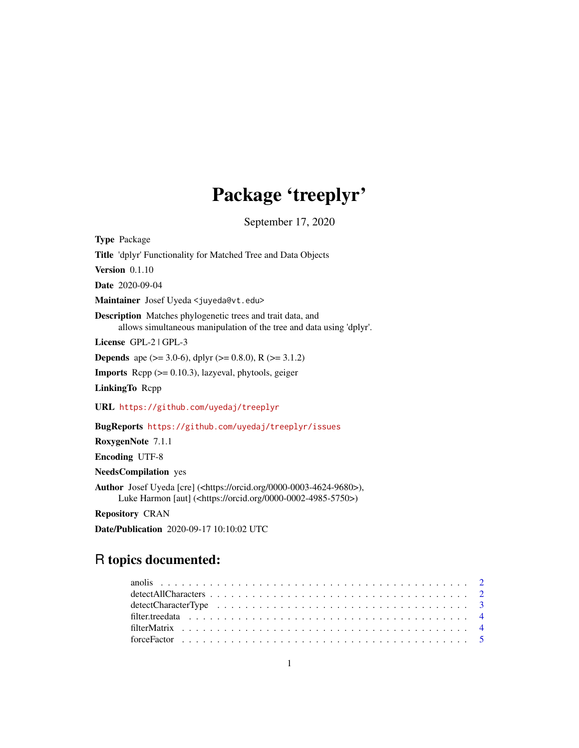# Package 'treeplyr'

September 17, 2020

<span id="page-0-0"></span>Type Package Title 'dplyr' Functionality for Matched Tree and Data Objects Version 0.1.10 Date 2020-09-04 Maintainer Josef Uyeda <juyeda@vt.edu> Description Matches phylogenetic trees and trait data, and allows simultaneous manipulation of the tree and data using 'dplyr'. License GPL-2 | GPL-3 **Depends** ape ( $>= 3.0-6$ ), dplyr ( $>= 0.8.0$ ), R ( $>= 3.1.2$ ) Imports Rcpp (>= 0.10.3), lazyeval, phytools, geiger LinkingTo Rcpp URL <https://github.com/uyedaj/treeplyr> BugReports <https://github.com/uyedaj/treeplyr/issues> RoxygenNote 7.1.1 Encoding UTF-8 NeedsCompilation yes Author Josef Uyeda [cre] (<https://orcid.org/0000-0003-4624-9680>), Luke Harmon [aut] (<https://orcid.org/0000-0002-4985-5750>)

Repository CRAN

Date/Publication 2020-09-17 10:10:02 UTC

# R topics documented: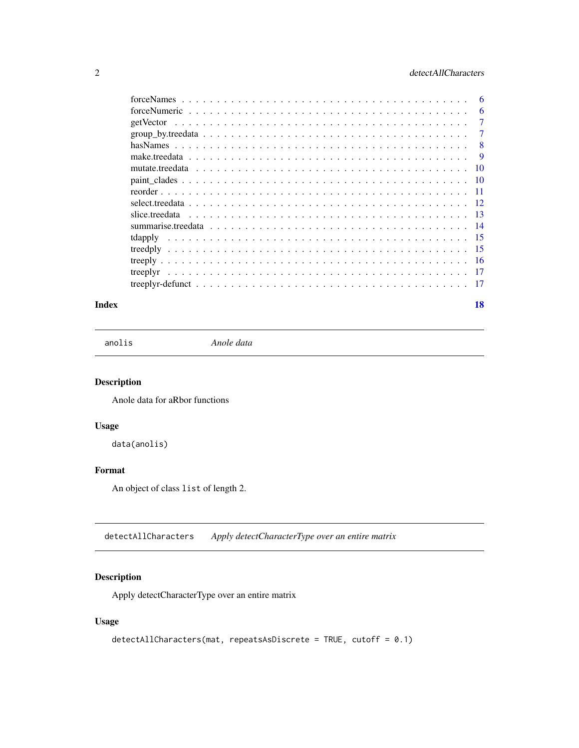<span id="page-1-0"></span>

| $forceNames \dots \dots \dots \dots \dots \dots \dots \dots \dots \dots \dots \dots \dots \dots \dots \dots \dots$ | 6               |
|--------------------------------------------------------------------------------------------------------------------|-----------------|
|                                                                                                                    | 6               |
|                                                                                                                    | 7               |
|                                                                                                                    | 7               |
|                                                                                                                    | 8               |
|                                                                                                                    | 9               |
|                                                                                                                    | $\overline{10}$ |
|                                                                                                                    | - 10            |
|                                                                                                                    | $-11$           |
|                                                                                                                    |                 |
|                                                                                                                    |                 |
|                                                                                                                    |                 |
|                                                                                                                    |                 |
|                                                                                                                    |                 |
|                                                                                                                    |                 |
| treeplyr                                                                                                           |                 |
|                                                                                                                    | - 17            |
|                                                                                                                    |                 |

#### **Index** 2008 **[18](#page-17-0)**

anolis *Anole data*

# Description

Anole data for aRbor functions

# Usage

data(anolis)

# Format

An object of class list of length 2.

detectAllCharacters *Apply detectCharacterType over an entire matrix*

# Description

Apply detectCharacterType over an entire matrix

```
detectAllCharacters(mat, repeatsAsDiscrete = TRUE, cutoff = 0.1)
```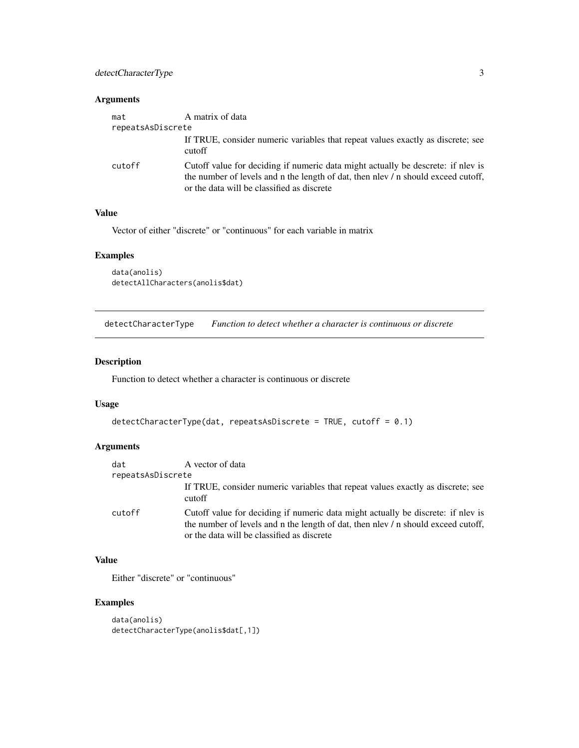# <span id="page-2-0"></span>detectCharacterType 3

# Arguments

| mat               | A matrix of data                                                                                                                                                                                                    |
|-------------------|---------------------------------------------------------------------------------------------------------------------------------------------------------------------------------------------------------------------|
| repeatsAsDiscrete |                                                                                                                                                                                                                     |
|                   | If TRUE, consider numeric variables that repeat values exactly as discrete; see<br>cutoff                                                                                                                           |
| cutoff            | Cutoff value for deciding if numeric data might actually be descrete: if nlev is<br>the number of levels and n the length of dat, then nlev / n should exceed cutoff,<br>or the data will be classified as discrete |

# Value

Vector of either "discrete" or "continuous" for each variable in matrix

# Examples

```
data(anolis)
detectAllCharacters(anolis$dat)
```
detectCharacterType *Function to detect whether a character is continuous or discrete*

# Description

Function to detect whether a character is continuous or discrete

# Usage

```
detectCharacterType(dat, repeatsAsDiscrete = TRUE, cutoff = 0.1)
```
# Arguments

| dat               | A vector of data                                                                                                                                                                                                    |
|-------------------|---------------------------------------------------------------------------------------------------------------------------------------------------------------------------------------------------------------------|
| repeatsAsDiscrete |                                                                                                                                                                                                                     |
|                   | If TRUE, consider numeric variables that repeat values exactly as discrete; see<br>cutoff                                                                                                                           |
| cutoff            | Cutoff value for deciding if numeric data might actually be discrete: if nlev is<br>the number of levels and n the length of dat, then nlev / n should exceed cutoff,<br>or the data will be classified as discrete |

# Value

Either "discrete" or "continuous"

```
data(anolis)
detectCharacterType(anolis$dat[,1])
```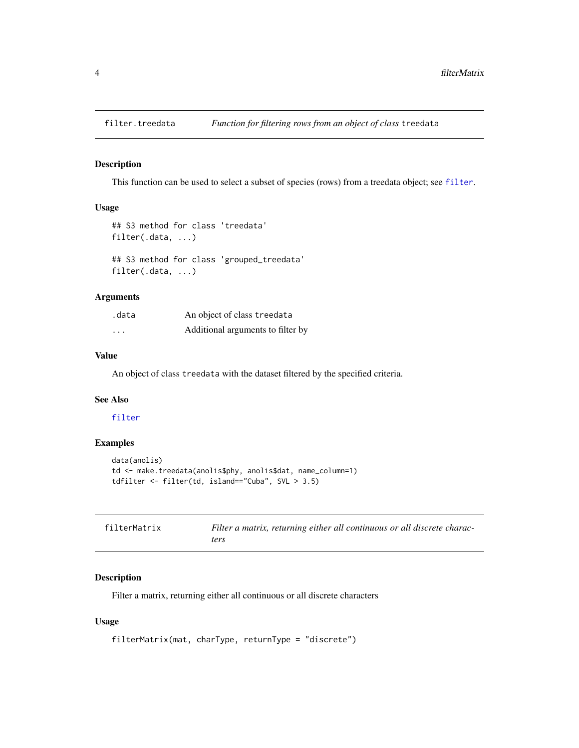<span id="page-3-0"></span>

#### Description

This function can be used to select a subset of species (rows) from a treedata object; see [filter](#page-0-0).

# Usage

```
## S3 method for class 'treedata'
filter(.data, ...)
## S3 method for class 'grouped_treedata'
filter(.data, ...)
```
# Arguments

| .data    | An object of class treedata       |
|----------|-----------------------------------|
| $\cdots$ | Additional arguments to filter by |

#### Value

An object of class treedata with the dataset filtered by the specified criteria.

# See Also

#### [filter](#page-0-0)

# Examples

```
data(anolis)
td <- make.treedata(anolis$phy, anolis$dat, name_column=1)
tdfilter <- filter(td, island=="Cuba", SVL > 3.5)
```

| filterMatrix | Filter a matrix, returning either all continuous or all discrete charac- |
|--------------|--------------------------------------------------------------------------|
|              | ters                                                                     |

# Description

Filter a matrix, returning either all continuous or all discrete characters

```
filterMatrix(mat, charType, returnType = "discrete")
```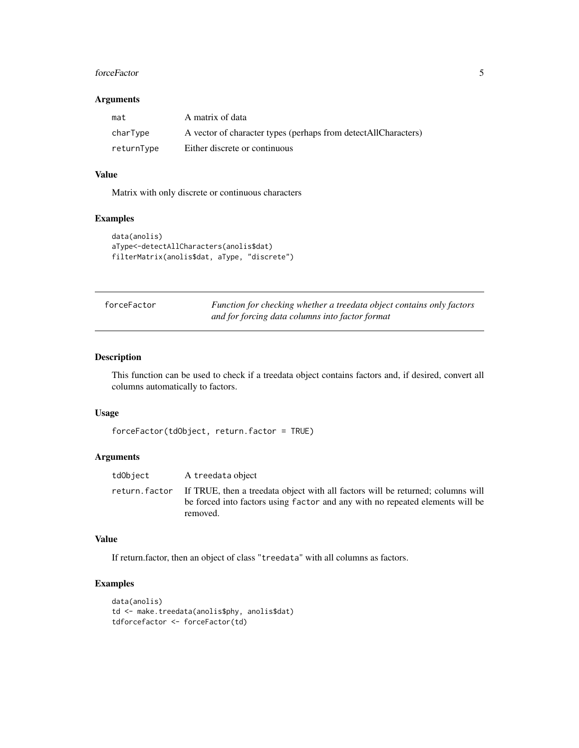#### <span id="page-4-0"></span>forceFactor 5

#### Arguments

| mat        | A matrix of data                                                 |
|------------|------------------------------------------------------------------|
| charType   | A vector of character types (perhaps from detect All Characters) |
| returnType | Either discrete or continuous                                    |

#### Value

Matrix with only discrete or continuous characters

# Examples

```
data(anolis)
aType<-detectAllCharacters(anolis$dat)
filterMatrix(anolis$dat, aType, "discrete")
```

| forceFactor | Function for checking whether a treedata object contains only factors |
|-------------|-----------------------------------------------------------------------|
|             | and for forcing data columns into factor format                       |

# Description

This function can be used to check if a treedata object contains factors and, if desired, convert all columns automatically to factors.

#### Usage

```
forceFactor(tdObject, return.factor = TRUE)
```
# Arguments

| tdObject | A treedata object                                                                                                                                                                          |
|----------|--------------------------------------------------------------------------------------------------------------------------------------------------------------------------------------------|
|          | return factor If TRUE, then a treedata object with all factors will be returned; columns will<br>be forced into factors using factor and any with no repeated elements will be<br>removed. |

#### Value

If return.factor, then an object of class "treedata" with all columns as factors.

```
data(anolis)
td <- make.treedata(anolis$phy, anolis$dat)
tdforcefactor <- forceFactor(td)
```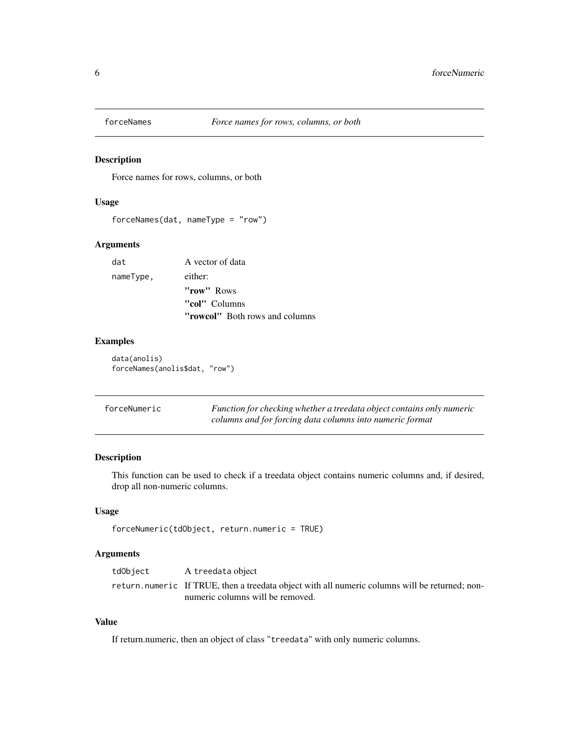<span id="page-5-0"></span>

#### Description

Force names for rows, columns, or both

# Usage

forceNames(dat, nameType = "row")

# Arguments

| dat       | A vector of data                      |
|-----------|---------------------------------------|
| nameType, | either:                               |
|           | "row" Rows                            |
|           | "col" Columns                         |
|           | <b>"rowcol"</b> Both rows and columns |

# Examples

data(anolis) forceNames(anolis\$dat, "row")

| forceNumeric | Function for checking whether a treedata object contains only numeric |
|--------------|-----------------------------------------------------------------------|
|              | columns and for forcing data columns into numeric format              |

# Description

This function can be used to check if a treedata object contains numeric columns and, if desired, drop all non-numeric columns.

# Usage

```
forceNumeric(tdObject, return.numeric = TRUE)
```
# Arguments

| tdObject | A treedata object                                                                              |
|----------|------------------------------------------------------------------------------------------------|
|          | return.numeric If TRUE, then a treedata object with all numeric columns will be returned; non- |
|          | numeric columns will be removed.                                                               |

# Value

If return.numeric, then an object of class "treedata" with only numeric columns.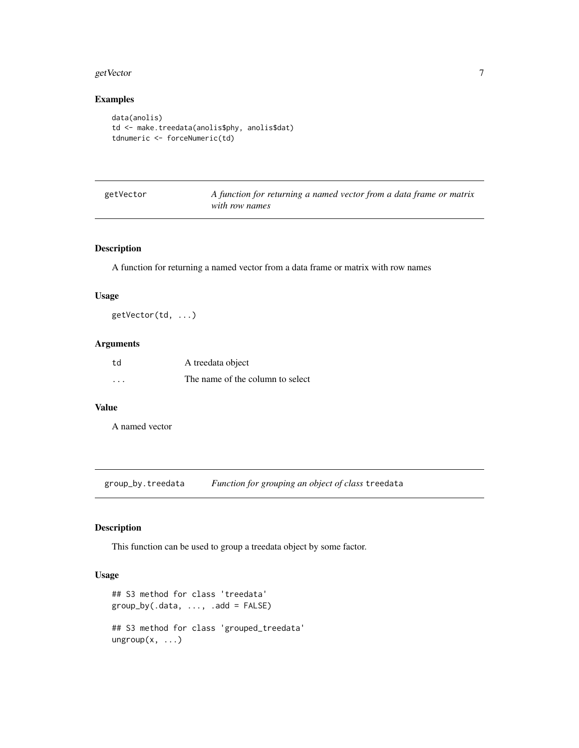#### <span id="page-6-0"></span>getVector 7 and 2008 and 2009 and 2009 and 2009 and 2009 and 2009 and 2009 and 2009 and 2009 and 2009 and 2009

# Examples

```
data(anolis)
td <- make.treedata(anolis$phy, anolis$dat)
tdnumeric <- forceNumeric(td)
```

| getVector |
|-----------|
|-----------|

A function for returning a named vector from a data frame or matrix *with row names*

# Description

A function for returning a named vector from a data frame or matrix with row names

# Usage

getVector(td, ...)

#### Arguments

| td       | A treedata object                |
|----------|----------------------------------|
| $\cdots$ | The name of the column to select |

# Value

A named vector

group\_by.treedata *Function for grouping an object of class* treedata

#### Description

This function can be used to group a treedata object by some factor.

```
## S3 method for class 'treedata'
group_by(.data, ..., .add = FALSE)## S3 method for class 'grouped_treedata'
ungroup(x, \ldots)
```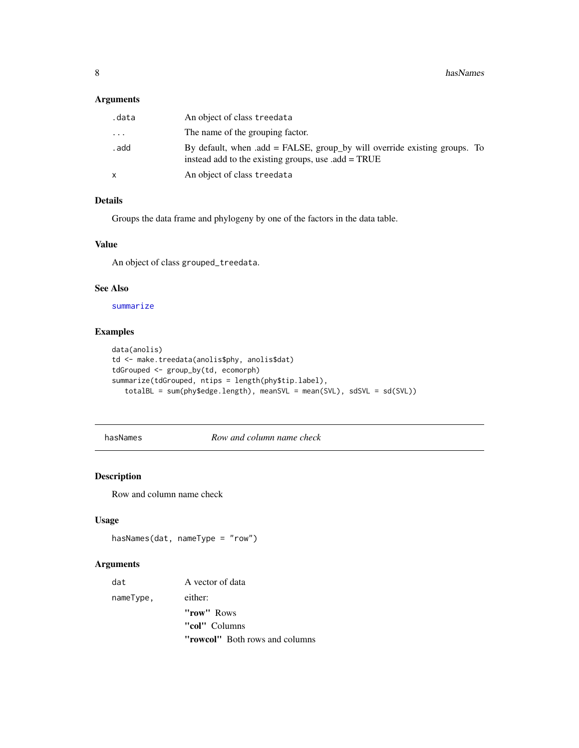# <span id="page-7-0"></span>Arguments

| .data | An object of class treedata                                                                                                         |
|-------|-------------------------------------------------------------------------------------------------------------------------------------|
| .     | The name of the grouping factor.                                                                                                    |
| . add | By default, when $.add = FALSE$ , group by will override existing groups. To<br>instead add to the existing groups, use .add = TRUE |
| x     | An object of class treedata                                                                                                         |

#### Details

Groups the data frame and phylogeny by one of the factors in the data table.

# Value

An object of class grouped\_treedata.

# See Also

[summarize](#page-0-0)

# Examples

```
data(anolis)
td <- make.treedata(anolis$phy, anolis$dat)
tdGrouped <- group_by(td, ecomorph)
summarize(tdGrouped, ntips = length(phy$tip.label),
   totalBL = sum(phy$edge.length), meanSVL = mean(SVL), sdSVL = sd(SVL))
```
hasNames *Row and column name check*

# Description

Row and column name check

# Usage

```
hasNames(dat, nameType = "row")
```
# Arguments

| dat       | A vector of data                      |
|-----------|---------------------------------------|
| nameType, | either:                               |
|           | "row" Rows                            |
|           | "col" Columns                         |
|           | <b>"rowcol"</b> Both rows and columns |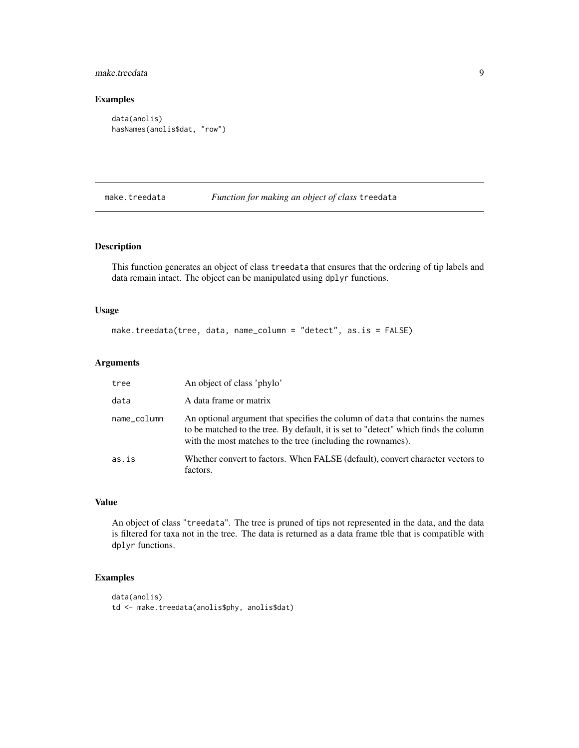# <span id="page-8-0"></span>make.treedata 9

# Examples

```
data(anolis)
hasNames(anolis$dat, "row")
```
make.treedata *Function for making an object of class* treedata

#### Description

This function generates an object of class treedata that ensures that the ordering of tip labels and data remain intact. The object can be manipulated using dplyr functions.

#### Usage

make.treedata(tree, data, name\_column = "detect", as.is = FALSE)

# Arguments

| tree        | An object of class 'phylo'                                                                                                                                                                                                           |
|-------------|--------------------------------------------------------------------------------------------------------------------------------------------------------------------------------------------------------------------------------------|
| data        | A data frame or matrix                                                                                                                                                                                                               |
| name_column | An optional argument that specifies the column of data that contains the names<br>to be matched to the tree. By default, it is set to "detect" which finds the column<br>with the most matches to the tree (including the rownames). |
| as.is       | Whether convert to factors. When FALSE (default), convert character vectors to<br>factors.                                                                                                                                           |

# Value

An object of class "treedata". The tree is pruned of tips not represented in the data, and the data is filtered for taxa not in the tree. The data is returned as a data frame tble that is compatible with dplyr functions.

```
data(anolis)
td <- make.treedata(anolis$phy, anolis$dat)
```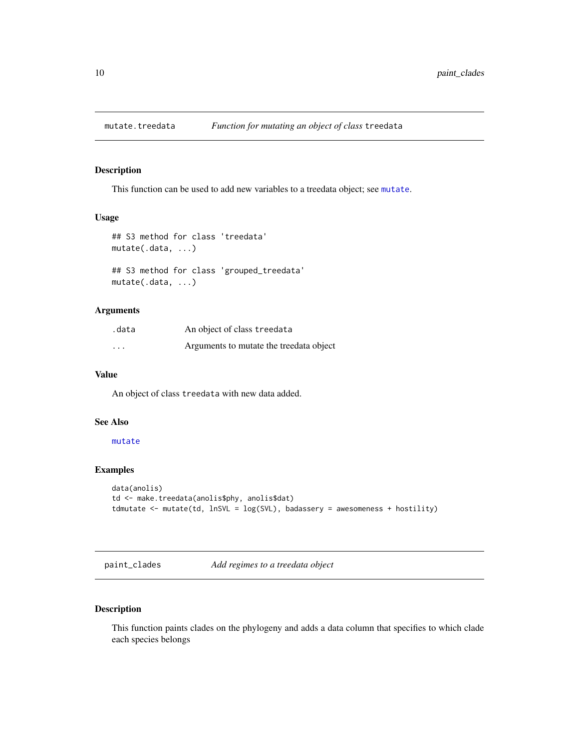<span id="page-9-0"></span>

#### Description

This function can be used to add new variables to a treedata object; see [mutate](#page-0-0).

#### Usage

```
## S3 method for class 'treedata'
mutate(.data, ...)
## S3 method for class 'grouped_treedata'
mutate(.data, ...)
```
## Arguments

| .data                   | An object of class treedata             |
|-------------------------|-----------------------------------------|
| $\cdot$ $\cdot$ $\cdot$ | Arguments to mutate the treedata object |

#### Value

An object of class treedata with new data added.

#### See Also

#### [mutate](#page-0-0)

#### Examples

```
data(anolis)
td <- make.treedata(anolis$phy, anolis$dat)
tdmutate <- mutate(td, lnSVL = log(SVL), badassery = awesomeness + hostility)
```

```
paint_clades Add regimes to a treedata object
```
# Description

This function paints clades on the phylogeny and adds a data column that specifies to which clade each species belongs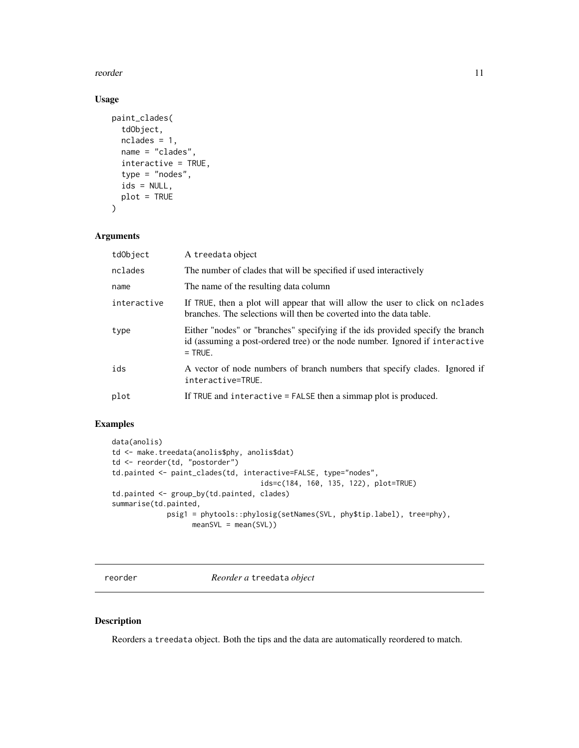<span id="page-10-0"></span>reorder that the contract of the contract of the contract of the contract of the contract of the contract of the contract of the contract of the contract of the contract of the contract of the contract of the contract of t

# Usage

```
paint_clades(
  tdObject,
  nclades = 1,
  name = "clades",
  interactive = TRUE,
  type = "nodes",ids = NULL,
  plot = TRUE
\mathcal{L}
```
# Arguments

| tdObject    | A treedata object                                                                                                                                                           |
|-------------|-----------------------------------------------------------------------------------------------------------------------------------------------------------------------------|
| nclades     | The number of clades that will be specified if used interactively                                                                                                           |
| name        | The name of the resulting data column                                                                                                                                       |
| interactive | If TRUE, then a plot will appear that will allow the user to click on nclades<br>branches. The selections will then be coverted into the data table.                        |
| type        | Either "nodes" or "branches" specifying if the ids provided specify the branch<br>id (assuming a post-ordered tree) or the node number. Ignored if interactive<br>$=$ TRUE. |
| ids         | A vector of node numbers of branch numbers that specify clades. Ignored if<br>interactive=TRUE.                                                                             |
| plot        | If TRUE and interactive = FALSE then a simmap plot is produced.                                                                                                             |

# Examples

```
data(anolis)
td <- make.treedata(anolis$phy, anolis$dat)
td <- reorder(td, "postorder")
td.painted <- paint_clades(td, interactive=FALSE, type="nodes",
                                   ids=c(184, 160, 135, 122), plot=TRUE)
td.painted <- group_by(td.painted, clades)
summarise(td.painted,
            psig1 = phytools::phylosig(setNames(SVL, phy$tip.label), tree=phy),
                   meanSVL = mean(SVL)
```

```
reorder Reorder a treedata object
```
#### Description

Reorders a treedata object. Both the tips and the data are automatically reordered to match.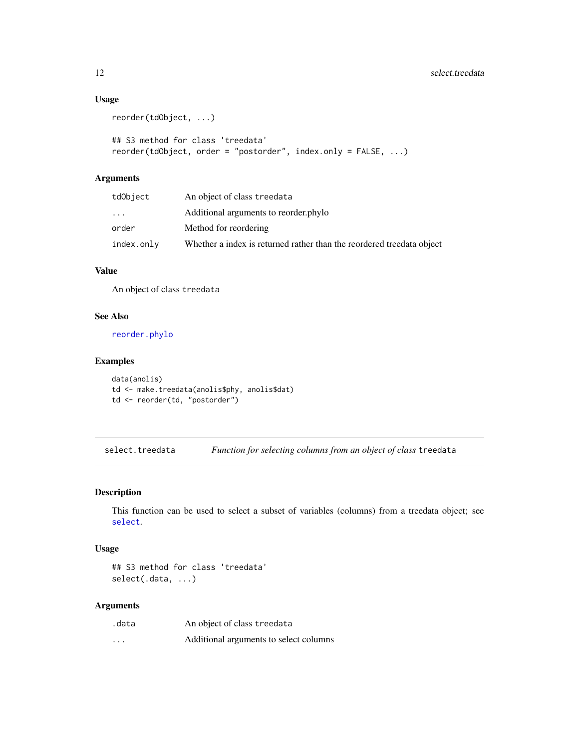# Usage

```
reorder(tdObject, ...)
## S3 method for class 'treedata'
reorder(tdObject, order = "postorder", index.only = FALSE, ...)
```
# Arguments

| tdObject   | An object of class treedata                                           |
|------------|-----------------------------------------------------------------------|
| .          | Additional arguments to reorder.phylo                                 |
| order      | Method for reordering                                                 |
| index.only | Whether a index is returned rather than the reordered treedata object |

# Value

An object of class treedata

## See Also

[reorder.phylo](#page-0-0)

# Examples

```
data(anolis)
td <- make.treedata(anolis$phy, anolis$dat)
td <- reorder(td, "postorder")
```
select.treedata *Function for selecting columns from an object of class* treedata

# Description

This function can be used to select a subset of variables (columns) from a treedata object; see [select](#page-0-0).

#### Usage

## S3 method for class 'treedata' select(.data, ...)

#### Arguments

| .data                   | An object of class treedata            |
|-------------------------|----------------------------------------|
| $\cdot$ $\cdot$ $\cdot$ | Additional arguments to select columns |

<span id="page-11-0"></span>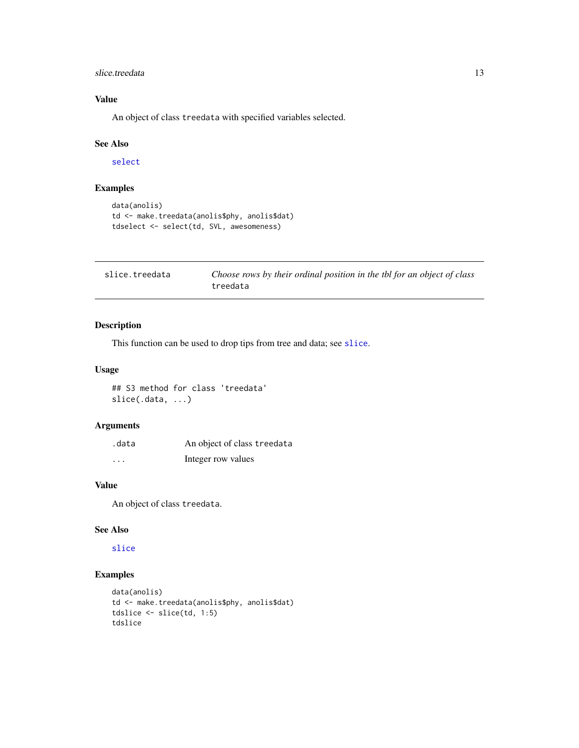#### <span id="page-12-0"></span>slice.treedata 13

# Value

An object of class treedata with specified variables selected.

# See Also

[select](#page-0-0)

# Examples

```
data(anolis)
td <- make.treedata(anolis$phy, anolis$dat)
tdselect <- select(td, SVL, awesomeness)
```

| slice.treedata | Choose rows by their ordinal position in the tbl for an object of class |
|----------------|-------------------------------------------------------------------------|
|                | treedata                                                                |

# Description

This function can be used to drop tips from tree and data; see [slice](#page-0-0).

#### Usage

## S3 method for class 'treedata' slice(.data, ...)

# Arguments

| .data    | An object of class treedata |
|----------|-----------------------------|
| $\cdots$ | Integer row values          |

# Value

An object of class treedata.

#### See Also

#### [slice](#page-0-0)

```
data(anolis)
td <- make.treedata(anolis$phy, anolis$dat)
tdslice <- slice(td, 1:5)
tdslice
```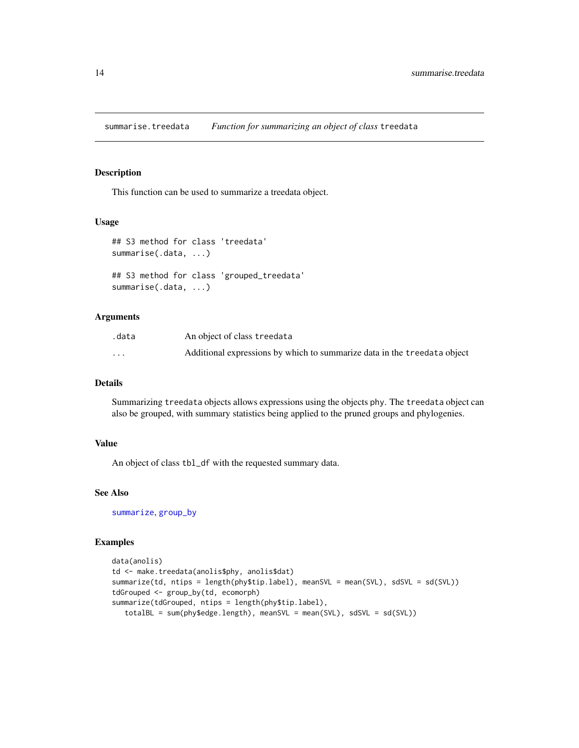<span id="page-13-0"></span>summarise.treedata *Function for summarizing an object of class* treedata

# Description

This function can be used to summarize a treedata object.

#### Usage

```
## S3 method for class 'treedata'
summarise(.data, ...)
## S3 method for class 'grouped_treedata'
summarise(.data, ...)
```
## Arguments

| .data    | An object of class treedata                                              |
|----------|--------------------------------------------------------------------------|
| $\cdots$ | Additional expressions by which to summarize data in the treedata object |

# Details

Summarizing treedata objects allows expressions using the objects phy. The treedata object can also be grouped, with summary statistics being applied to the pruned groups and phylogenies.

#### Value

An object of class tbl\_df with the requested summary data.

# See Also

[summarize](#page-0-0), [group\\_by](#page-0-0)

```
data(anolis)
td <- make.treedata(anolis$phy, anolis$dat)
summarize(td, ntips = length(phy$tip.label), meanSVL = mean(SVL), sdSVL = sd(SVL))
tdGrouped <- group_by(td, ecomorph)
summarize(tdGrouped, ntips = length(phy$tip.label),
   totalBL = sum(phy$edge.length), meanSVL = mean(SVL), sdSVL = sd(SVL))
```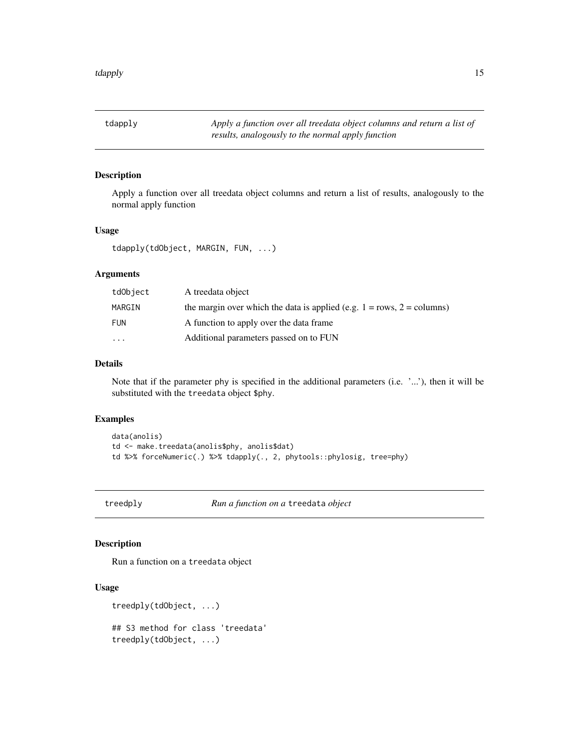<span id="page-14-0"></span>tdapply *Apply a function over all treedata object columns and return a list of results, analogously to the normal apply function*

# Description

Apply a function over all treedata object columns and return a list of results, analogously to the normal apply function

# Usage

```
tdapply(tdObject, MARGIN, FUN, ...)
```
# Arguments

| tdObject   | A treedata object                                                            |
|------------|------------------------------------------------------------------------------|
| MARGIN     | the margin over which the data is applied (e.g. $1 = rows$ , $2 = columns$ ) |
| <b>FUN</b> | A function to apply over the data frame.                                     |
| $\cdots$   | Additional parameters passed on to FUN                                       |

# Details

Note that if the parameter phy is specified in the additional parameters (i.e. '...'), then it will be substituted with the treedata object \$phy.

#### Examples

```
data(anolis)
td <- make.treedata(anolis$phy, anolis$dat)
td %>% forceNumeric(.) %>% tdapply(., 2, phytools::phylosig, tree=phy)
```
treedply *Run a function on a* treedata *object*

#### Description

Run a function on a treedata object

```
treedply(tdObject, ...)
## S3 method for class 'treedata'
treedply(tdObject, ...)
```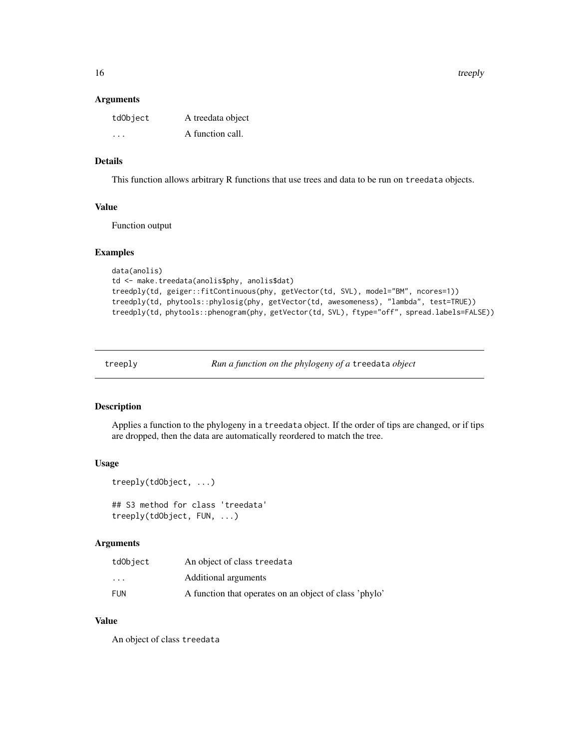<span id="page-15-0"></span>16 treeply

#### Arguments

| tdObject                | A treedata object |
|-------------------------|-------------------|
| $\cdot$ $\cdot$ $\cdot$ | A function call.  |

# Details

This function allows arbitrary R functions that use trees and data to be run on treedata objects.

#### Value

Function output

#### Examples

```
data(anolis)
td <- make.treedata(anolis$phy, anolis$dat)
treedply(td, geiger::fitContinuous(phy, getVector(td, SVL), model="BM", ncores=1))
treedply(td, phytools::phylosig(phy, getVector(td, awesomeness), "lambda", test=TRUE))
treedply(td, phytools::phenogram(phy, getVector(td, SVL), ftype="off", spread.labels=FALSE))
```
treeply *Run a function on the phylogeny of a* treedata *object*

#### Description

Applies a function to the phylogeny in a treedata object. If the order of tips are changed, or if tips are dropped, then the data are automatically reordered to match the tree.

#### Usage

```
treeply(tdObject, ...)
## S3 method for class 'treedata'
treeply(tdObject, FUN, ...)
```
#### Arguments

| tdObject                | An object of class treedata                            |
|-------------------------|--------------------------------------------------------|
| $\cdot$ $\cdot$ $\cdot$ | Additional arguments                                   |
| FUN                     | A function that operates on an object of class 'phylo' |

#### Value

An object of class treedata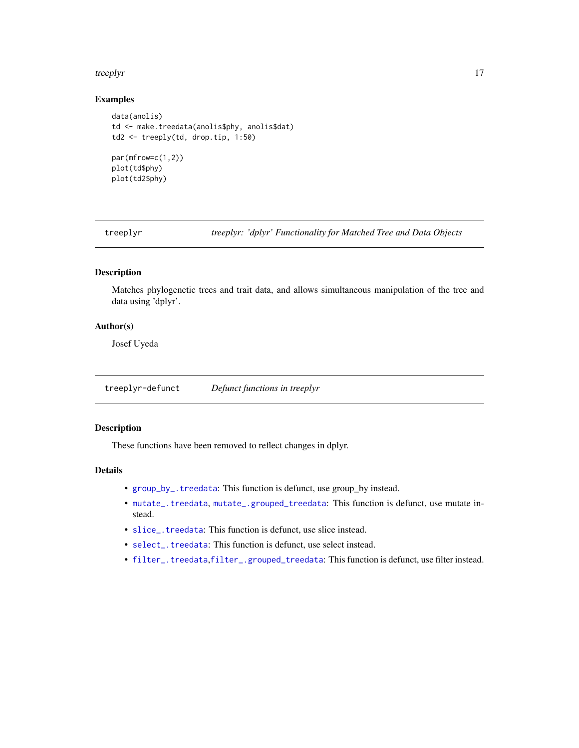#### <span id="page-16-0"></span>treeplyr and the streeply of the streeply of the streeplyr streeply of the streeply of the streeply of the streep  $\frac{17}{2}$

# Examples

```
data(anolis)
td <- make.treedata(anolis$phy, anolis$dat)
td2 <- treeply(td, drop.tip, 1:50)
par(mfrow=c(1,2))
plot(td$phy)
plot(td2$phy)
```
treeplyr *treeplyr: 'dplyr' Functionality for Matched Tree and Data Objects*

# Description

Matches phylogenetic trees and trait data, and allows simultaneous manipulation of the tree and data using 'dplyr'.

# Author(s)

Josef Uyeda

treeplyr-defunct *Defunct functions in treeplyr*

# Description

These functions have been removed to reflect changes in dplyr.

#### Details

- [group\\_by\\_.treedata](#page-0-0): This function is defunct, use group\_by instead.
- [mutate\\_.treedata](#page-0-0), [mutate\\_.grouped\\_treedata](#page-0-0): This function is defunct, use mutate instead.
- [slice\\_.treedata](#page-0-0): This function is defunct, use slice instead.
- [select\\_.treedata](#page-0-0): This function is defunct, use select instead.
- [filter\\_.treedata](#page-0-0),[filter\\_.grouped\\_treedata](#page-0-0): This function is defunct, use filter instead.